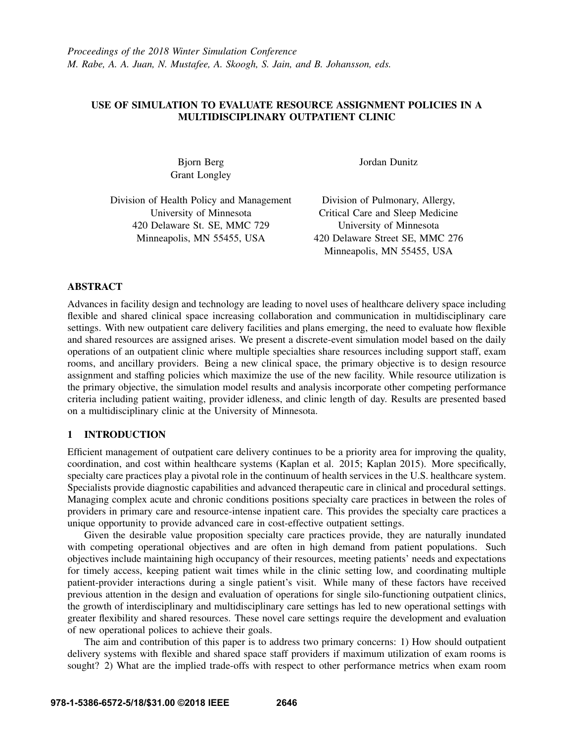# USE OF SIMULATION TO EVALUATE RESOURCE ASSIGNMENT POLICIES IN A MULTIDISCIPLINARY OUTPATIENT CLINIC

Grant Longley

Bjorn Berg Jordan Dunitz

Division of Health Policy and Management Division of Pulmonary, Allergy, 420 Delaware St. SE, MMC 729 University of Minnesota Minneapolis, MN 55455, USA 420 Delaware Street SE, MMC 276

University of Minnesota<br>
Critical Care and Sleep Medicine Minneapolis, MN 55455, USA

## ABSTRACT

Advances in facility design and technology are leading to novel uses of healthcare delivery space including flexible and shared clinical space increasing collaboration and communication in multidisciplinary care settings. With new outpatient care delivery facilities and plans emerging, the need to evaluate how flexible and shared resources are assigned arises. We present a discrete-event simulation model based on the daily operations of an outpatient clinic where multiple specialties share resources including support staff, exam rooms, and ancillary providers. Being a new clinical space, the primary objective is to design resource assignment and staffing policies which maximize the use of the new facility. While resource utilization is the primary objective, the simulation model results and analysis incorporate other competing performance criteria including patient waiting, provider idleness, and clinic length of day. Results are presented based on a multidisciplinary clinic at the University of Minnesota.

## 1 INTRODUCTION

Efficient management of outpatient care delivery continues to be a priority area for improving the quality, coordination, and cost within healthcare systems (Kaplan et al. 2015; Kaplan 2015). More specifically, specialty care practices play a pivotal role in the continuum of health services in the U.S. healthcare system. Specialists provide diagnostic capabilities and advanced therapeutic care in clinical and procedural settings. Managing complex acute and chronic conditions positions specialty care practices in between the roles of providers in primary care and resource-intense inpatient care. This provides the specialty care practices a unique opportunity to provide advanced care in cost-effective outpatient settings.

Given the desirable value proposition specialty care practices provide, they are naturally inundated with competing operational objectives and are often in high demand from patient populations. Such objectives include maintaining high occupancy of their resources, meeting patients' needs and expectations for timely access, keeping patient wait times while in the clinic setting low, and coordinating multiple patient-provider interactions during a single patient's visit. While many of these factors have received previous attention in the design and evaluation of operations for single silo-functioning outpatient clinics, the growth of interdisciplinary and multidisciplinary care settings has led to new operational settings with greater flexibility and shared resources. These novel care settings require the development and evaluation of new operational polices to achieve their goals.

The aim and contribution of this paper is to address two primary concerns: 1) How should outpatient delivery systems with flexible and shared space staff providers if maximum utilization of exam rooms is sought? 2) What are the implied trade-offs with respect to other performance metrics when exam room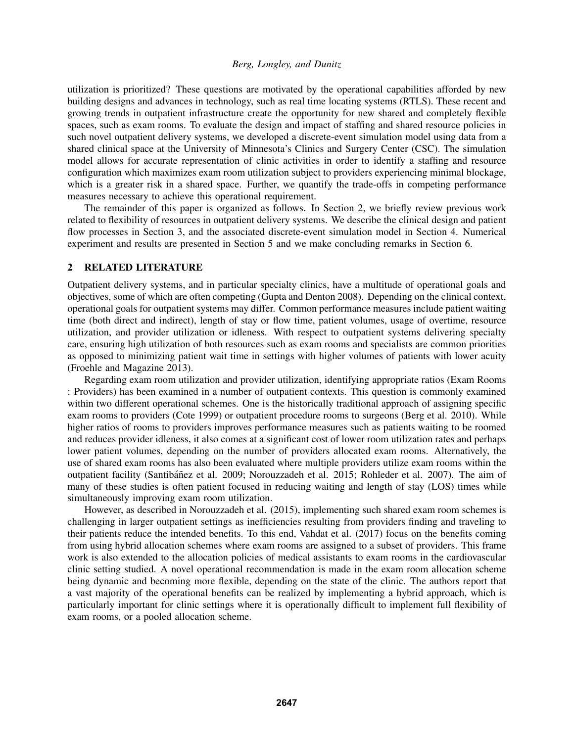utilization is prioritized? These questions are motivated by the operational capabilities afforded by new building designs and advances in technology, such as real time locating systems (RTLS). These recent and growing trends in outpatient infrastructure create the opportunity for new shared and completely flexible spaces, such as exam rooms. To evaluate the design and impact of staffing and shared resource policies in such novel outpatient delivery systems, we developed a discrete-event simulation model using data from a shared clinical space at the University of Minnesota's Clinics and Surgery Center (CSC). The simulation model allows for accurate representation of clinic activities in order to identify a staffing and resource configuration which maximizes exam room utilization subject to providers experiencing minimal blockage, which is a greater risk in a shared space. Further, we quantify the trade-offs in competing performance measures necessary to achieve this operational requirement.

The remainder of this paper is organized as follows. In Section 2, we briefly review previous work related to flexibility of resources in outpatient delivery systems. We describe the clinical design and patient flow processes in Section 3, and the associated discrete-event simulation model in Section 4. Numerical experiment and results are presented in Section 5 and we make concluding remarks in Section 6.

#### 2 RELATED LITERATURE

Outpatient delivery systems, and in particular specialty clinics, have a multitude of operational goals and objectives, some of which are often competing (Gupta and Denton 2008). Depending on the clinical context, operational goals for outpatient systems may differ. Common performance measures include patient waiting time (both direct and indirect), length of stay or flow time, patient volumes, usage of overtime, resource utilization, and provider utilization or idleness. With respect to outpatient systems delivering specialty care, ensuring high utilization of both resources such as exam rooms and specialists are common priorities as opposed to minimizing patient wait time in settings with higher volumes of patients with lower acuity (Froehle and Magazine 2013).

Regarding exam room utilization and provider utilization, identifying appropriate ratios (Exam Rooms : Providers) has been examined in a number of outpatient contexts. This question is commonly examined within two different operational schemes. One is the historically traditional approach of assigning specific exam rooms to providers (Cote 1999) or outpatient procedure rooms to surgeons (Berg et al. 2010). While higher ratios of rooms to providers improves performance measures such as patients waiting to be roomed and reduces provider idleness, it also comes at a significant cost of lower room utilization rates and perhaps lower patient volumes, depending on the number of providers allocated exam rooms. Alternatively, the use of shared exam rooms has also been evaluated where multiple providers utilize exam rooms within the outpatient facility (Santibáñez et al. 2009; Norouzzadeh et al. 2015; Rohleder et al. 2007). The aim of many of these studies is often patient focused in reducing waiting and length of stay (LOS) times while simultaneously improving exam room utilization.

However, as described in Norouzzadeh et al. (2015), implementing such shared exam room schemes is challenging in larger outpatient settings as inefficiencies resulting from providers finding and traveling to their patients reduce the intended benefits. To this end, Vahdat et al. (2017) focus on the benefits coming from using hybrid allocation schemes where exam rooms are assigned to a subset of providers. This frame work is also extended to the allocation policies of medical assistants to exam rooms in the cardiovascular clinic setting studied. A novel operational recommendation is made in the exam room allocation scheme being dynamic and becoming more flexible, depending on the state of the clinic. The authors report that a vast majority of the operational benefits can be realized by implementing a hybrid approach, which is particularly important for clinic settings where it is operationally difficult to implement full flexibility of exam rooms, or a pooled allocation scheme.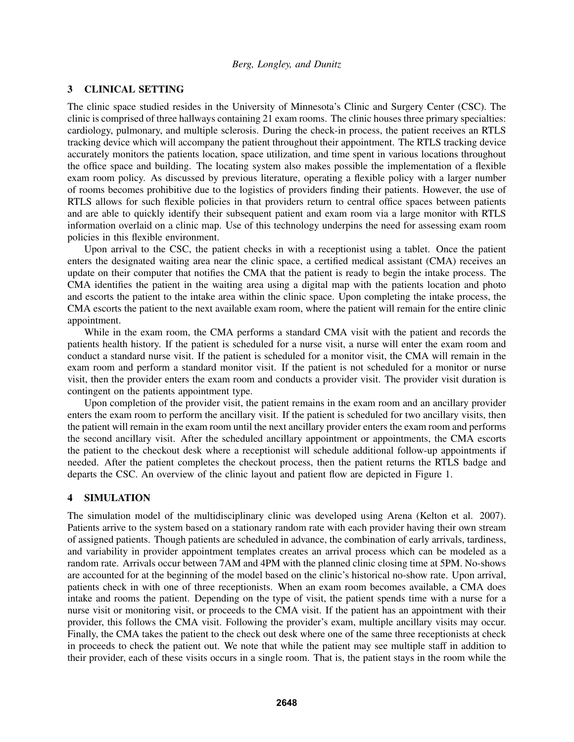### 3 CLINICAL SETTING

The clinic space studied resides in the University of Minnesota's Clinic and Surgery Center (CSC). The clinic is comprised of three hallways containing 21 exam rooms. The clinic houses three primary specialties: cardiology, pulmonary, and multiple sclerosis. During the check-in process, the patient receives an RTLS tracking device which will accompany the patient throughout their appointment. The RTLS tracking device accurately monitors the patients location, space utilization, and time spent in various locations throughout the office space and building. The locating system also makes possible the implementation of a flexible exam room policy. As discussed by previous literature, operating a flexible policy with a larger number of rooms becomes prohibitive due to the logistics of providers finding their patients. However, the use of RTLS allows for such flexible policies in that providers return to central office spaces between patients and are able to quickly identify their subsequent patient and exam room via a large monitor with RTLS information overlaid on a clinic map. Use of this technology underpins the need for assessing exam room policies in this flexible environment.

Upon arrival to the CSC, the patient checks in with a receptionist using a tablet. Once the patient enters the designated waiting area near the clinic space, a certified medical assistant (CMA) receives an update on their computer that notifies the CMA that the patient is ready to begin the intake process. The CMA identifies the patient in the waiting area using a digital map with the patients location and photo and escorts the patient to the intake area within the clinic space. Upon completing the intake process, the CMA escorts the patient to the next available exam room, where the patient will remain for the entire clinic appointment.

While in the exam room, the CMA performs a standard CMA visit with the patient and records the patients health history. If the patient is scheduled for a nurse visit, a nurse will enter the exam room and conduct a standard nurse visit. If the patient is scheduled for a monitor visit, the CMA will remain in the exam room and perform a standard monitor visit. If the patient is not scheduled for a monitor or nurse visit, then the provider enters the exam room and conducts a provider visit. The provider visit duration is contingent on the patients appointment type.

Upon completion of the provider visit, the patient remains in the exam room and an ancillary provider enters the exam room to perform the ancillary visit. If the patient is scheduled for two ancillary visits, then the patient will remain in the exam room until the next ancillary provider enters the exam room and performs the second ancillary visit. After the scheduled ancillary appointment or appointments, the CMA escorts the patient to the checkout desk where a receptionist will schedule additional follow-up appointments if needed. After the patient completes the checkout process, then the patient returns the RTLS badge and departs the CSC. An overview of the clinic layout and patient flow are depicted in Figure 1.

#### 4 SIMULATION

The simulation model of the multidisciplinary clinic was developed using Arena (Kelton et al. 2007). Patients arrive to the system based on a stationary random rate with each provider having their own stream of assigned patients. Though patients are scheduled in advance, the combination of early arrivals, tardiness, and variability in provider appointment templates creates an arrival process which can be modeled as a random rate. Arrivals occur between 7AM and 4PM with the planned clinic closing time at 5PM. No-shows are accounted for at the beginning of the model based on the clinic's historical no-show rate. Upon arrival, patients check in with one of three receptionists. When an exam room becomes available, a CMA does intake and rooms the patient. Depending on the type of visit, the patient spends time with a nurse for a nurse visit or monitoring visit, or proceeds to the CMA visit. If the patient has an appointment with their provider, this follows the CMA visit. Following the provider's exam, multiple ancillary visits may occur. Finally, the CMA takes the patient to the check out desk where one of the same three receptionists at check in proceeds to check the patient out. We note that while the patient may see multiple staff in addition to their provider, each of these visits occurs in a single room. That is, the patient stays in the room while the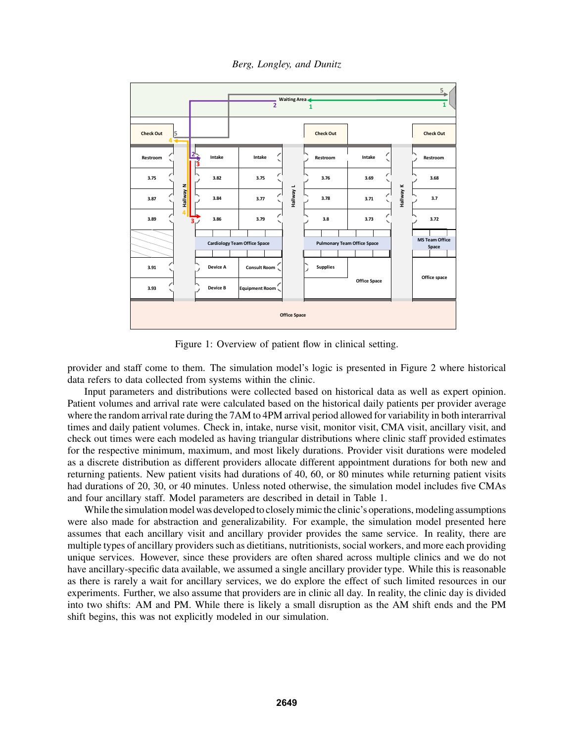*Berg, Longley, and Dunitz*



Figure 1: Overview of patient flow in clinical setting.

provider and staff come to them. The simulation model's logic is presented in Figure 2 where historical data refers to data collected from systems within the clinic.

Input parameters and distributions were collected based on historical data as well as expert opinion. Patient volumes and arrival rate were calculated based on the historical daily patients per provider average where the random arrival rate during the 7AM to 4PM arrival period allowed for variability in both interarrival times and daily patient volumes. Check in, intake, nurse visit, monitor visit, CMA visit, ancillary visit, and check out times were each modeled as having triangular distributions where clinic staff provided estimates for the respective minimum, maximum, and most likely durations. Provider visit durations were modeled as a discrete distribution as different providers allocate different appointment durations for both new and returning patients. New patient visits had durations of 40, 60, or 80 minutes while returning patient visits had durations of 20, 30, or 40 minutes. Unless noted otherwise, the simulation model includes five CMAs and four ancillary staff. Model parameters are described in detail in Table 1.

While the simulation model was developed to closely mimic the clinic's operations, modeling assumptions were also made for abstraction and generalizability. For example, the simulation model presented here assumes that each ancillary visit and ancillary provider provides the same service. In reality, there are multiple types of ancillary providers such as dietitians, nutritionists, social workers, and more each providing unique services. However, since these providers are often shared across multiple clinics and we do not have ancillary-specific data available, we assumed a single ancillary provider type. While this is reasonable as there is rarely a wait for ancillary services, we do explore the effect of such limited resources in our experiments. Further, we also assume that providers are in clinic all day. In reality, the clinic day is divided into two shifts: AM and PM. While there is likely a small disruption as the AM shift ends and the PM shift begins, this was not explicitly modeled in our simulation.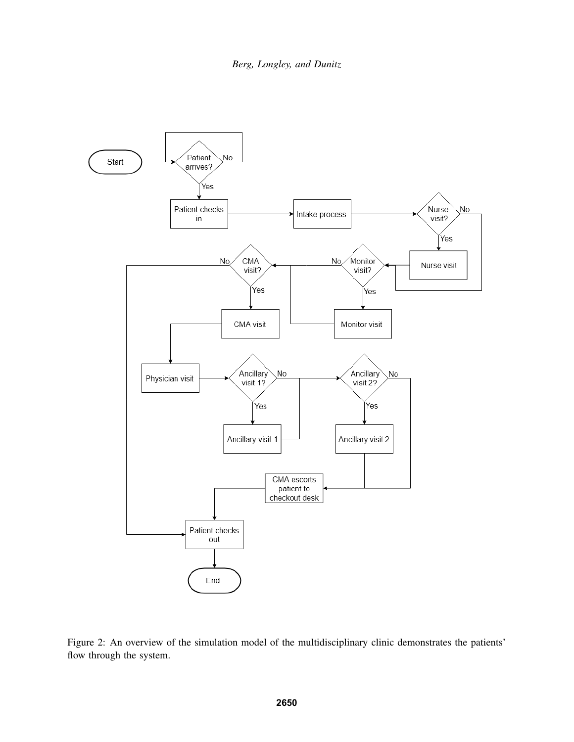

Figure 2: An overview of the simulation model of the multidisciplinary clinic demonstrates the patients' flow through the system.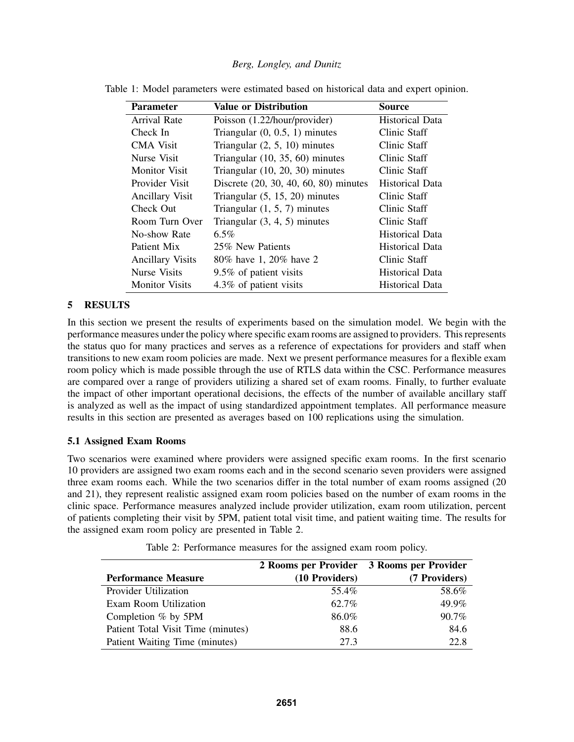| <b>Parameter</b>        | <b>Value or Distribution</b>          | <b>Source</b>          |
|-------------------------|---------------------------------------|------------------------|
| <b>Arrival Rate</b>     | Poisson (1.22/hour/provider)          | <b>Historical Data</b> |
| Check In                | Triangular $(0, 0.5, 1)$ minutes      | Clinic Staff           |
| <b>CMA</b> Visit        | Triangular $(2, 5, 10)$ minutes       | Clinic Staff           |
| Nurse Visit             | Triangular $(10, 35, 60)$ minutes     | Clinic Staff           |
| <b>Monitor Visit</b>    | Triangular $(10, 20, 30)$ minutes     | Clinic Staff           |
| Provider Visit          | Discrete (20, 30, 40, 60, 80) minutes | <b>Historical Data</b> |
| <b>Ancillary Visit</b>  | Triangular $(5, 15, 20)$ minutes      | Clinic Staff           |
| Check Out               | Triangular $(1, 5, 7)$ minutes        | Clinic Staff           |
| Room Turn Over          | Triangular $(3, 4, 5)$ minutes        | Clinic Staff           |
| No-show Rate            | $6.5\%$                               | <b>Historical Data</b> |
| Patient Mix             | 25% New Patients                      | <b>Historical Data</b> |
| <b>Ancillary Visits</b> | 80% have 1, 20% have 2                | Clinic Staff           |
| <b>Nurse Visits</b>     | 9.5% of patient visits                | <b>Historical Data</b> |
| <b>Monitor</b> Visits   | 4.3% of patient visits                | Historical Data        |

|  | Table 1: Model parameters were estimated based on historical data and expert opinion. |  |  |  |  |  |
|--|---------------------------------------------------------------------------------------|--|--|--|--|--|
|  |                                                                                       |  |  |  |  |  |

### 5 RESULTS

In this section we present the results of experiments based on the simulation model. We begin with the performance measures under the policy where specific exam rooms are assigned to providers. This represents the status quo for many practices and serves as a reference of expectations for providers and staff when transitions to new exam room policies are made. Next we present performance measures for a flexible exam room policy which is made possible through the use of RTLS data within the CSC. Performance measures are compared over a range of providers utilizing a shared set of exam rooms. Finally, to further evaluate the impact of other important operational decisions, the effects of the number of available ancillary staff is analyzed as well as the impact of using standardized appointment templates. All performance measure results in this section are presented as averages based on 100 replications using the simulation.

## 5.1 Assigned Exam Rooms

Two scenarios were examined where providers were assigned specific exam rooms. In the first scenario 10 providers are assigned two exam rooms each and in the second scenario seven providers were assigned three exam rooms each. While the two scenarios differ in the total number of exam rooms assigned (20 and 21), they represent realistic assigned exam room policies based on the number of exam rooms in the clinic space. Performance measures analyzed include provider utilization, exam room utilization, percent of patients completing their visit by 5PM, patient total visit time, and patient waiting time. The results for the assigned exam room policy are presented in Table 2.

|                                    | 2 Rooms per Provider 3 Rooms per Provider |               |
|------------------------------------|-------------------------------------------|---------------|
| <b>Performance Measure</b>         | (10 Providers)                            | (7 Providers) |
| Provider Utilization               | 55.4%                                     | 58.6%         |
| Exam Room Utilization              | 62.7%                                     | 49.9%         |
| Completion $%$ by 5PM              | 86.0%                                     | $90.7\%$      |
| Patient Total Visit Time (minutes) | 88.6                                      | 84.6          |
| Patient Waiting Time (minutes)     | 27.3                                      | 22.8          |

Table 2: Performance measures for the assigned exam room policy.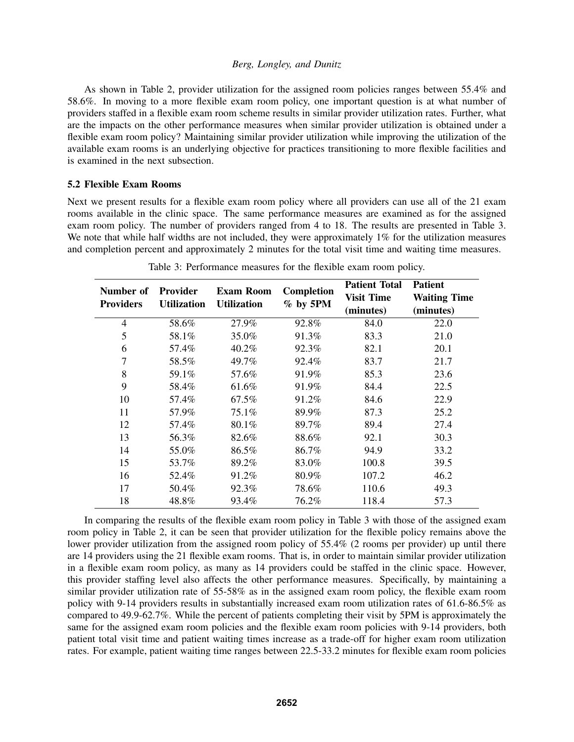As shown in Table 2, provider utilization for the assigned room policies ranges between 55.4% and 58.6%. In moving to a more flexible exam room policy, one important question is at what number of providers staffed in a flexible exam room scheme results in similar provider utilization rates. Further, what are the impacts on the other performance measures when similar provider utilization is obtained under a flexible exam room policy? Maintaining similar provider utilization while improving the utilization of the available exam rooms is an underlying objective for practices transitioning to more flexible facilities and is examined in the next subsection.

#### 5.2 Flexible Exam Rooms

Next we present results for a flexible exam room policy where all providers can use all of the 21 exam rooms available in the clinic space. The same performance measures are examined as for the assigned exam room policy. The number of providers ranged from 4 to 18. The results are presented in Table 3. We note that while half widths are not included, they were approximately 1% for the utilization measures and completion percent and approximately 2 minutes for the total visit time and waiting time measures.

| Number of        | <b>Provider</b><br><b>Utilization</b> | <b>Exam Room</b><br><b>Utilization</b> | <b>Completion</b><br>$%$ by 5PM | <b>Patient Total</b> | <b>Patient</b>      |
|------------------|---------------------------------------|----------------------------------------|---------------------------------|----------------------|---------------------|
| <b>Providers</b> |                                       |                                        |                                 | <b>Visit Time</b>    | <b>Waiting Time</b> |
|                  |                                       |                                        |                                 | (minutes)            | (minutes)           |
| $\overline{4}$   | 58.6%                                 | 27.9%                                  | 92.8%                           | 84.0                 | 22.0                |
| 5                | 58.1%                                 | 35.0%                                  | 91.3%                           | 83.3                 | 21.0                |
| 6                | 57.4%                                 | $40.2\%$                               | 92.3%                           | 82.1                 | 20.1                |
| 7                | 58.5%                                 | 49.7%                                  | 92.4%                           | 83.7                 | 21.7                |
| 8                | 59.1%                                 | 57.6%                                  | 91.9%                           | 85.3                 | 23.6                |
| 9                | 58.4%                                 | 61.6%                                  | 91.9%                           | 84.4                 | 22.5                |
| 10               | 57.4%                                 | 67.5%                                  | 91.2%                           | 84.6                 | 22.9                |
| 11               | 57.9%                                 | 75.1%                                  | 89.9%                           | 87.3                 | 25.2                |
| 12               | 57.4%                                 | 80.1%                                  | 89.7%                           | 89.4                 | 27.4                |
| 13               | 56.3%                                 | 82.6%                                  | 88.6%                           | 92.1                 | 30.3                |
| 14               | 55.0%                                 | 86.5%                                  | 86.7%                           | 94.9                 | 33.2                |
| 15               | 53.7%                                 | 89.2%                                  | 83.0%                           | 100.8                | 39.5                |
| 16               | 52.4%                                 | 91.2%                                  | 80.9%                           | 107.2                | 46.2                |
| 17               | 50.4%                                 | 92.3%                                  | 78.6%                           | 110.6                | 49.3                |
| 18               | 48.8%                                 | 93.4%                                  | 76.2%                           | 118.4                | 57.3                |

| Table 3: Performance measures for the flexible exam room policy. |  |  |
|------------------------------------------------------------------|--|--|
|------------------------------------------------------------------|--|--|

In comparing the results of the flexible exam room policy in Table 3 with those of the assigned exam room policy in Table 2, it can be seen that provider utilization for the flexible policy remains above the lower provider utilization from the assigned room policy of 55.4% (2 rooms per provider) up until there are 14 providers using the 21 flexible exam rooms. That is, in order to maintain similar provider utilization in a flexible exam room policy, as many as 14 providers could be staffed in the clinic space. However, this provider staffing level also affects the other performance measures. Specifically, by maintaining a similar provider utilization rate of 55-58% as in the assigned exam room policy, the flexible exam room policy with 9-14 providers results in substantially increased exam room utilization rates of 61.6-86.5% as compared to 49.9-62.7%. While the percent of patients completing their visit by 5PM is approximately the same for the assigned exam room policies and the flexible exam room policies with 9-14 providers, both patient total visit time and patient waiting times increase as a trade-off for higher exam room utilization rates. For example, patient waiting time ranges between 22.5-33.2 minutes for flexible exam room policies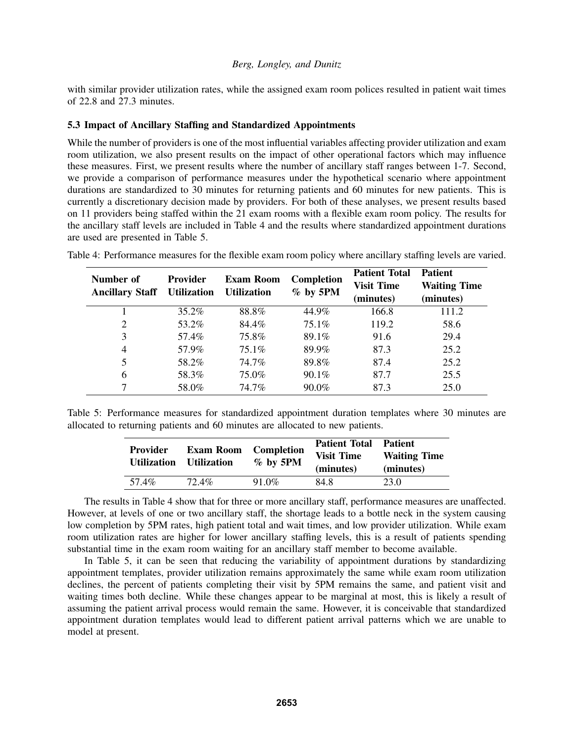with similar provider utilization rates, while the assigned exam room polices resulted in patient wait times of 22.8 and 27.3 minutes.

## 5.3 Impact of Ancillary Staffing and Standardized Appointments

While the number of providers is one of the most influential variables affecting provider utilization and exam room utilization, we also present results on the impact of other operational factors which may influence these measures. First, we present results where the number of ancillary staff ranges between 1-7. Second, we provide a comparison of performance measures under the hypothetical scenario where appointment durations are standardized to 30 minutes for returning patients and 60 minutes for new patients. This is currently a discretionary decision made by providers. For both of these analyses, we present results based on 11 providers being staffed within the 21 exam rooms with a flexible exam room policy. The results for the ancillary staff levels are included in Table 4 and the results where standardized appointment durations are used are presented in Table 5.

| Number of<br><b>Ancillary Staff</b> | Provider<br><b>Utilization</b> | <b>Exam Room</b><br><b>Utilization</b> | <b>Completion</b><br>$%$ by 5PM | <b>Patient Total</b><br><b>Visit Time</b><br>(minutes) | <b>Patient</b><br><b>Waiting Time</b><br>(minutes) |
|-------------------------------------|--------------------------------|----------------------------------------|---------------------------------|--------------------------------------------------------|----------------------------------------------------|
|                                     | 35.2%                          | 88.8%                                  | 44.9%                           | 166.8                                                  | 111.2                                              |
| 2                                   | 53.2%                          | 84.4%                                  | $75.1\%$                        | 119.2                                                  | 58.6                                               |
| 3                                   | 57.4%                          | 75.8%                                  | 89.1%                           | 91.6                                                   | 29.4                                               |
| 4                                   | 57.9%                          | $75.1\%$                               | 89.9%                           | 87.3                                                   | 25.2                                               |
| 5                                   | 58.2%                          | 74.7%                                  | 89.8%                           | 87.4                                                   | 25.2                                               |
| 6                                   | 58.3%                          | 75.0%                                  | $90.1\%$                        | 87.7                                                   | 25.5                                               |
|                                     | 58.0%                          | 74.7%                                  | 90.0%                           | 87.3                                                   | 25.0                                               |

Table 4: Performance measures for the flexible exam room policy where ancillary staffing levels are varied.

Table 5: Performance measures for standardized appointment duration templates where 30 minutes are allocated to returning patients and 60 minutes are allocated to new patients.

| <b>Provider</b><br><b>Utilization</b> | <b>Exam Room</b><br><b>Utilization</b> | Completion<br>$%$ by 5PM | <b>Patient Total</b><br><b>Visit Time</b><br>(minutes) | <b>Patient</b><br><b>Waiting Time</b><br>(minutes) |
|---------------------------------------|----------------------------------------|--------------------------|--------------------------------------------------------|----------------------------------------------------|
| 57.4%                                 | $72.4\%$                               | $91.0\%$                 | 84.8                                                   | 23.0                                               |

The results in Table 4 show that for three or more ancillary staff, performance measures are unaffected. However, at levels of one or two ancillary staff, the shortage leads to a bottle neck in the system causing low completion by 5PM rates, high patient total and wait times, and low provider utilization. While exam room utilization rates are higher for lower ancillary staffing levels, this is a result of patients spending substantial time in the exam room waiting for an ancillary staff member to become available.

In Table 5, it can be seen that reducing the variability of appointment durations by standardizing appointment templates, provider utilization remains approximately the same while exam room utilization declines, the percent of patients completing their visit by 5PM remains the same, and patient visit and waiting times both decline. While these changes appear to be marginal at most, this is likely a result of assuming the patient arrival process would remain the same. However, it is conceivable that standardized appointment duration templates would lead to different patient arrival patterns which we are unable to model at present.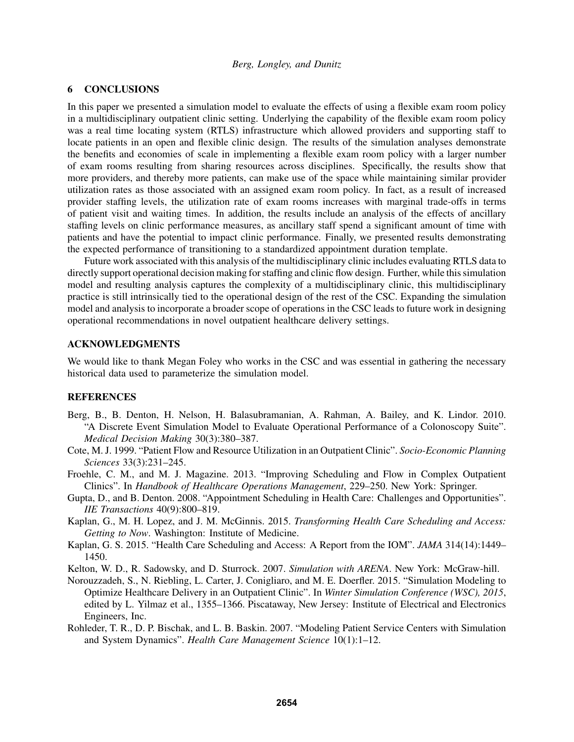#### 6 CONCLUSIONS

In this paper we presented a simulation model to evaluate the effects of using a flexible exam room policy in a multidisciplinary outpatient clinic setting. Underlying the capability of the flexible exam room policy was a real time locating system (RTLS) infrastructure which allowed providers and supporting staff to locate patients in an open and flexible clinic design. The results of the simulation analyses demonstrate the benefits and economies of scale in implementing a flexible exam room policy with a larger number of exam rooms resulting from sharing resources across disciplines. Specifically, the results show that more providers, and thereby more patients, can make use of the space while maintaining similar provider utilization rates as those associated with an assigned exam room policy. In fact, as a result of increased provider staffing levels, the utilization rate of exam rooms increases with marginal trade-offs in terms of patient visit and waiting times. In addition, the results include an analysis of the effects of ancillary staffing levels on clinic performance measures, as ancillary staff spend a significant amount of time with patients and have the potential to impact clinic performance. Finally, we presented results demonstrating the expected performance of transitioning to a standardized appointment duration template.

Future work associated with this analysis of the multidisciplinary clinic includes evaluating RTLS data to directly support operational decision making for staffing and clinic flow design. Further, while this simulation model and resulting analysis captures the complexity of a multidisciplinary clinic, this multidisciplinary practice is still intrinsically tied to the operational design of the rest of the CSC. Expanding the simulation model and analysis to incorporate a broader scope of operations in the CSC leads to future work in designing operational recommendations in novel outpatient healthcare delivery settings.

# ACKNOWLEDGMENTS

We would like to thank Megan Foley who works in the CSC and was essential in gathering the necessary historical data used to parameterize the simulation model.

#### REFERENCES

- Berg, B., B. Denton, H. Nelson, H. Balasubramanian, A. Rahman, A. Bailey, and K. Lindor. 2010. "A Discrete Event Simulation Model to Evaluate Operational Performance of a Colonoscopy Suite". *Medical Decision Making* 30(3):380–387.
- Cote, M. J. 1999. "Patient Flow and Resource Utilization in an Outpatient Clinic". *Socio-Economic Planning Sciences* 33(3):231–245.
- Froehle, C. M., and M. J. Magazine. 2013. "Improving Scheduling and Flow in Complex Outpatient Clinics". In *Handbook of Healthcare Operations Management*, 229–250. New York: Springer.
- Gupta, D., and B. Denton. 2008. "Appointment Scheduling in Health Care: Challenges and Opportunities". *IIE Transactions* 40(9):800–819.
- Kaplan, G., M. H. Lopez, and J. M. McGinnis. 2015. *Transforming Health Care Scheduling and Access: Getting to Now*. Washington: Institute of Medicine.
- Kaplan, G. S. 2015. "Health Care Scheduling and Access: A Report from the IOM". *JAMA* 314(14):1449– 1450.
- Kelton, W. D., R. Sadowsky, and D. Sturrock. 2007. *Simulation with ARENA*. New York: McGraw-hill.
- Norouzzadeh, S., N. Riebling, L. Carter, J. Conigliaro, and M. E. Doerfler. 2015. "Simulation Modeling to Optimize Healthcare Delivery in an Outpatient Clinic". In *Winter Simulation Conference (WSC), 2015*, edited by L. Yilmaz et al., 1355–1366. Piscataway, New Jersey: Institute of Electrical and Electronics Engineers, Inc.
- Rohleder, T. R., D. P. Bischak, and L. B. Baskin. 2007. "Modeling Patient Service Centers with Simulation and System Dynamics". *Health Care Management Science* 10(1):1–12.